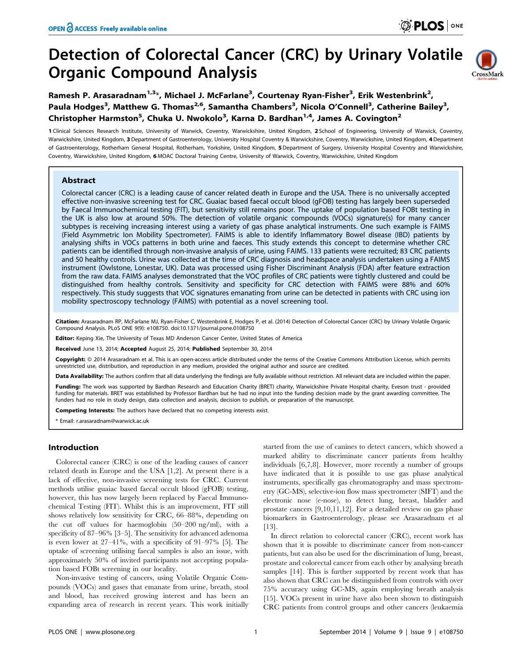# Detection of Colorectal Cancer (CRC) by Urinary Volatile Organic Compound Analysis



Ramesh P. Arasaradnam $^{1,3*}$ , Michael J. McFarlane $^3$ , Courtenay Ryan-Fisher $^3$ , Erik Westenbrink $^2$ , Paula Hodges<sup>3</sup>, Matthew G. Thomas<sup>2,6</sup>, Samantha Chambers<sup>3</sup>, Nicola O'Connell<sup>3</sup>, Catherine Bailey<sup>3</sup>, Christopher Harmston<sup>5</sup>, Chuka U. Nwokolo<sup>3</sup>, Karna D. Bardhan<sup>1,4</sup>, James A. Covington<sup>2</sup>

1 Clinical Sciences Research Institute, University of Warwick, Coventry, Warwickshire, United Kingdom, 2 School of Engineering, University of Warwick, Coventry, Warwickshire, United Kingdom, 3 Department of Gastroenterology, University Hospital Coventry & Warwickshire, Coventry, Warwickshire, United Kingdom, 4 Department of Gastroenterology, Rotherham General Hospital, Rotherham, Yorkshire, United Kingdom, 5Department of Surgery, University Hospital Coventry and Warwickshire, Coventry, Warwickshire, United Kingdom, 6 MOAC Doctoral Training Centre, University of Warwick, Coventry, Warwickshire, United Kingdom

## Abstract

Colorectal cancer (CRC) is a leading cause of cancer related death in Europe and the USA. There is no universally accepted effective non-invasive screening test for CRC. Guaiac based faecal occult blood (gFOB) testing has largely been superseded by Faecal Immunochemical testing (FIT), but sensitivity still remains poor. The uptake of population based FOBt testing in the UK is also low at around 50%. The detection of volatile organic compounds (VOCs) signature(s) for many cancer subtypes is receiving increasing interest using a variety of gas phase analytical instruments. One such example is FAIMS (Field Asymmetric Ion Mobility Spectrometer). FAIMS is able to identify Inflammatory Bowel disease (IBD) patients by analysing shifts in VOCs patterns in both urine and faeces. This study extends this concept to determine whether CRC patients can be identified through non-invasive analysis of urine, using FAIMS. 133 patients were recruited; 83 CRC patients and 50 healthy controls. Urine was collected at the time of CRC diagnosis and headspace analysis undertaken using a FAIMS instrument (Owlstone, Lonestar, UK). Data was processed using Fisher Discriminant Analysis (FDA) after feature extraction from the raw data. FAIMS analyses demonstrated that the VOC profiles of CRC patients were tightly clustered and could be distinguished from healthy controls. Sensitivity and specificity for CRC detection with FAIMS were 88% and 60% respectively. This study suggests that VOC signatures emanating from urine can be detected in patients with CRC using ion mobility spectroscopy technology (FAIMS) with potential as a novel screening tool.

Citation: Arasaradnam RP, McFarlane MJ, Ryan-Fisher C, Westenbrink E, Hodges P, et al. (2014) Detection of Colorectal Cancer (CRC) by Urinary Volatile Organic Compound Analysis. PLoS ONE 9(9): e108750. doi:10.1371/journal.pone.0108750

Editor: Keping Xie, The University of Texas MD Anderson Cancer Center, United States of America

Received June 13, 2014; Accepted August 25, 2014; Published September 30, 2014

Copyright: © 2014 Arasaradnam et al. This is an open-access article distributed under the terms of the [Creative Commons Attribution License,](http://creativecommons.org/licenses/by/4.0/) which permits unrestricted use, distribution, and reproduction in any medium, provided the original author and source are credited.

Data Availability: The authors confirm that all data underlying the findings are fully available without restriction. All relevant data are included within the paper.

Funding: The work was supported by Bardhan Research and Education Charity (BRET) charity, Warwickshire Private Hospital charity, Eveson trust - provided funding for materials. BRET was established by Professor Bardhan but he had no input into the funding decision made by the grant awarding committee. The funders had no role in study design, data collection and analysis, decision to publish, or preparation of the manuscript.

Competing Interests: The authors have declared that no competing interests exist.

\* Email: r.arasaradnam@warwick.ac.uk

## Introduction

Colorectal cancer (CRC) is one of the leading causes of cancer related death in Europe and the USA [1,2]. At present there is a lack of effective, non-invasive screening tests for CRC. Current methods utilise guaiac based faecal occult blood (gFOB) testing, however, this has now largely been replaced by Faecal Immunochemical Testing (FIT). Whilst this is an improvement, FIT still shows relatively low sensitivity for CRC, 66–88%, depending on the cut off values for haemoglobin (50–200 ng/ml), with a specificity of 87–96% [3–5]. The sensitivity for advanced adenoma is even lower at 27–41%, with a specificity of 91–97% [5]. The uptake of screening utilising faecal samples is also an issue, with approximately 50% of invited participants not accepting population based FOBt screening in our locality.

Non-invasive testing of cancers, using Volatile Organic Compounds (VOCs) and gases that emanate from urine, breath, stool and blood, has received growing interest and has been an expanding area of research in recent years. This work initially started from the use of canines to detect cancers, which showed a marked ability to discriminate cancer patients from healthy individuals [6,7,8]. However, more recently a number of groups have indicated that it is possible to use gas phase analytical instruments, specifically gas chromatography and mass spectrometry (GC-MS), selective-ion flow mass spectrometer (SIFT) and the electronic nose (e-nose), to detect lung, breast, bladder and prostate cancers [9,10,11,12]. For a detailed review on gas phase biomarkers in Gastroenterology, please see Arasaradnam et al [13].

In direct relation to colorectal cancer (CRC), recent work has shown that it is possible to discriminate cancer from non-cancer patients, but can also be used for the discrimination of lung, breast, prostate and colorectal cancer from each other by analysing breath samples [14]. This is further supported by recent work that has also shown that CRC can be distinguished from controls with over 75% accuracy using GC-MS, again employing breath analysis [15]. VOCs present in urine have also been shown to distinguish CRC patients from control groups and other cancers (leukaemia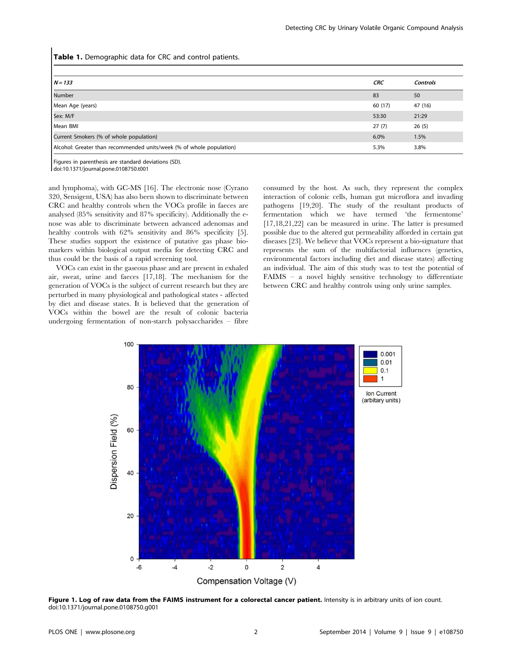Table 1. Demographic data for CRC and control patients.

| $N = 133$                                                            | <b>CRC</b> | <b>Controls</b> |
|----------------------------------------------------------------------|------------|-----------------|
| Number                                                               | 83         | 50              |
| Mean Age (years)                                                     | 60 (17)    | 47 (16)         |
| Sex: M/F                                                             | 53:30      | 21:29           |
| Mean BMI                                                             | 27(7)      | 26(5)           |
| Current Smokers (% of whole population)                              |            | 1.5%            |
| Alcohol: Greater than recommended units/week (% of whole population) |            | 3.8%            |

Figures in parenthesis are standard deviations (SD). doi:10.1371/journal.pone.0108750.t001

and lymphoma), with GC-MS [16]. The electronic nose (Cyrano 320, Sensigent, USA) has also been shown to discriminate between CRC and healthy controls when the VOCs profile in faeces are analysed (85% sensitivity and 87% specificity). Additionally the enose was able to discriminate between advanced adenomas and healthy controls with 62% sensitivity and 86% specificity [5]. These studies support the existence of putative gas phase biomarkers within biological output media for detecting CRC and thus could be the basis of a rapid screening tool.

VOCs can exist in the gaseous phase and are present in exhaled air, sweat, urine and faeces [17,18]. The mechanism for the generation of VOCs is the subject of current research but they are perturbed in many physiological and pathological states - affected by diet and disease states. It is believed that the generation of VOCs within the bowel are the result of colonic bacteria undergoing fermentation of non-starch polysaccharides – fibre

consumed by the host. As such, they represent the complex interaction of colonic cells, human gut microflora and invading pathogens [19,20]. The study of the resultant products of fermentation which we have termed 'the fermentome' [17,18,21,22] can be measured in urine. The latter is presumed possible due to the altered gut permeability afforded in certain gut diseases [23]. We believe that VOCs represent a bio-signature that represents the sum of the multifactorial influences (genetics, environmental factors including diet and disease states) affecting an individual. The aim of this study was to test the potential of FAIMS – a novel highly sensitive technology to differentiate between CRC and healthy controls using only urine samples.



Figure 1. Log of raw data from the FAIMS instrument for a colorectal cancer patient. Intensity is in arbitrary units of ion count. doi:10.1371/journal.pone.0108750.g001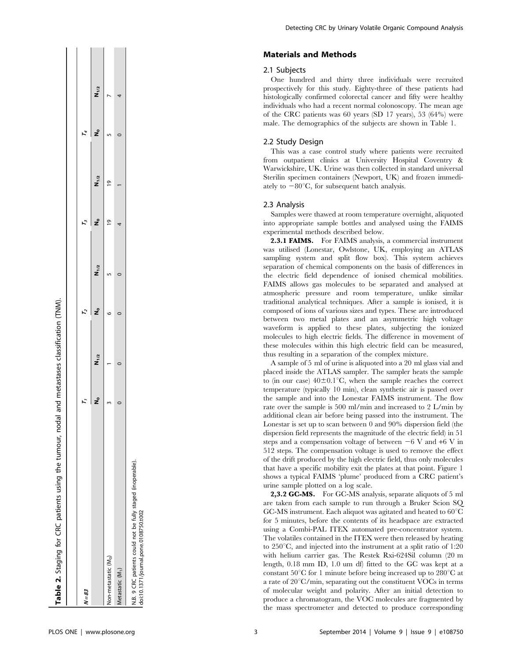| Table 2. Staging for CRC patients using the tumour, nodal and metastases classification (TNM).       |           |           |           |           |
|------------------------------------------------------------------------------------------------------|-----------|-----------|-----------|-----------|
| $N = 83$                                                                                             |           |           |           |           |
|                                                                                                      | $N_{1/2}$ | $N_{1/2}$ | $N_{1/2}$ | $N_{1/2}$ |
| Non-metastatic (M <sub>o</sub> )                                                                     |           |           |           |           |
| Metastatic (M <sub>1</sub> )                                                                         |           |           |           |           |
| N.B. 9 CRC patients could not be fully staged (inoperable).<br>doi:10.1371/journal.pone.0108750.t002 |           |           |           |           |

**The Contract of the Contract of the Contract of the Contract of the Contract of the Contract of the Contract of the Contract of the Contract of the Contract of the Contract of the Contract of the Contract of the Contract** 

 $\mathbf{I}$ 

## Materials and Methods

## 2.1 Subjects

One hundred and thirty three individuals were recruited prospectively for this study. Eighty-three of these patients had histologically confirmed colorectal cancer and fifty were healthy individuals who had a recent normal colonoscopy. The mean age of the CRC patients was 60 years (SD 17 years), 53 (64%) were male. The demographics of the subjects are shown in Table 1.

#### 2.2 Study Design

This was a case control study where patients were recruited from outpatient clinics at University Hospital Coventry & Warwickshire, UK. Urine was then collected in standard universal Sterilin specimen containers (Newport, UK) and frozen immediately to  $-80^{\circ}$ C, for subsequent batch analysis.

#### 2.3 Analysis

Samples were thawed at room temperature overnight, aliquoted into appropriate sample bottles and analysed using the FAIMS experimental methods described below.

2.3.1 FAIMS. For FAIMS analysis, a commercial instrument was utilised (Lonestar, Owlstone, UK, employing an ATLAS sampling system and split flow box). This system achieves separation of chemical components on the basis of differences in the electric field dependence of ionised chemical mobilities. FAIMS allows gas molecules to be separated and analysed at atmospheric pressure and room temperature, unlike similar traditional analytical techniques. After a sample is ionised, it is composed of ions of various sizes and types. These are introduced between two metal plates and an asymmetric high voltage waveform is applied to these plates, subjecting the ionized molecules to high electric fields. The difference in movement of these molecules within this high electric field can be measured, thus resulting in a separation of the complex mixture.

A sample of 5 ml of urine is aliquoted into a 20 ml glass vial and placed inside the ATLAS sampler. The sampler heats the sample to (in our case)  $40\pm0.1^{\circ}$ C, when the sample reaches the correct temperature (typically 10 min), clean synthetic air is passed over the sample and into the Lonestar FAIMS instrument. The flow rate over the sample is 500 ml/min and increased to 2 L/min by additional clean air before being passed into the instrument. The Lonestar is set up to scan between 0 and 90% dispersion field (the dispersion field represents the magnitude of the electric field) in 51 steps and a compensation voltage of between  $-6$  V and  $+6$  V in 512 steps. The compensation voltage is used to remove the effect of the drift produced by the high electric field, thus only molecules that have a specific mobility exit the plates at that point. Figure 1 shows a typical FAIMS 'plume' produced from a CRC patient's urine sample plotted on a log scale.

2,3.2 GC-MS. For GC-MS analysis, separate aliquots of 5 ml are taken from each sample to run through a Bruker Scion SQ GC-MS instrument. Each aliquot was agitated and heated to  $60^{\circ}$ C for 5 minutes, before the contents of its headspace are extracted using a Combi-PAL ITEX automated pre-concentrator system. The volatiles contained in the ITEX were then released by heating to  $250^{\circ}$ C, and injected into the instrument at a split ratio of 1:20 with helium carrier gas. The Restek Rxi-624Sil column (20 m length, 0.18 mm ID, 1.0 um df) fitted to the GC was kept at a constant  $50^{\circ}$ C for 1 minute before being increased up to  $280^{\circ}$ C at a rate of  $20^{\circ}$ C/min, separating out the constituent VOCs in terms of molecular weight and polarity. After an initial detection to produce a chromatogram, the VOC molecules are fragmented by the mass spectrometer and detected to produce corresponding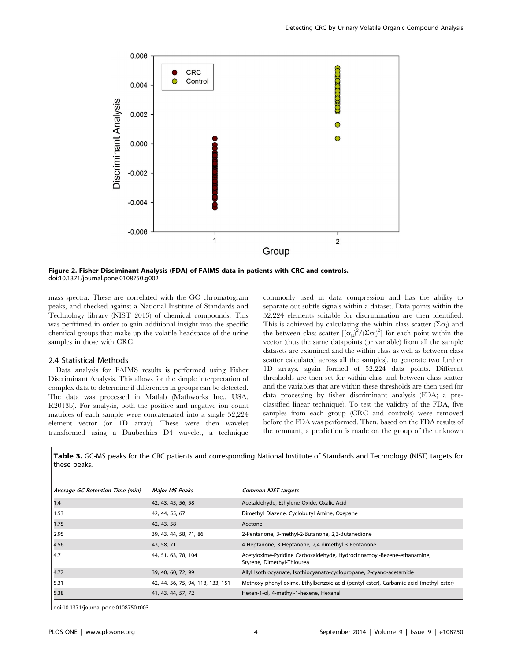

Figure 2. Fisher Disciminant Analysis (FDA) of FAIMS data in patients with CRC and controls. doi:10.1371/journal.pone.0108750.g002

mass spectra. These are correlated with the GC chromatogram peaks, and checked against a National Institute of Standards and Technology library (NIST 2013) of chemical compounds. This was perfrimed in order to gain additional insight into the specific chemical groups that make up the volatile headspace of the urine samples in those with CRC.

## 2.4 Statistical Methods

Data analysis for FAIMS results is performed using Fisher Discriminant Analysis. This allows for the simple interpretation of complex data to determine if differences in groups can be detected. The data was processed in Matlab (Mathworks Inc., USA, R2013b). For analysis, both the positive and negative ion count matrices of each sample were concatenated into a single 52,224 element vector (or 1D array). These were then wavelet transformed using a Daubechies D4 wavelet, a technique

commonly used in data compression and has the ability to separate out subtle signals within a dataset. Data points within the 52,224 elements suitable for discrimination are then identified. This is achieved by calculating the within class scatter  $(\Sigma \sigma_i)$  and the between class scatter  $[(\sigma_\mu)^2/(\Sigma \sigma_i)^2]$  for each point within the vector (thus the same datapoints (or variable) from all the sample datasets are examined and the within class as well as between class scatter calculated across all the samples), to generate two further 1D arrays, again formed of 52,224 data points. Different thresholds are then set for within class and between class scatter and the variables that are within these thresholds are then used for data processing by fisher discriminant analysis (FDA; a preclassified linear technique). To test the validity of the FDA, five samples from each group (CRC and controls) were removed before the FDA was performed. Then, based on the FDA results of the remnant, a prediction is made on the group of the unknown

Table 3. GC-MS peaks for the CRC patients and corresponding National Institute of Standards and Technology (NIST) targets for these peaks.

| Average GC Retention Time (min) | <b>Major MS Peaks</b>             | <b>Common NIST targets</b>                                                                           |
|---------------------------------|-----------------------------------|------------------------------------------------------------------------------------------------------|
| 1.4                             | 42, 43, 45, 56, 58                | Acetaldehyde, Ethylene Oxide, Oxalic Acid                                                            |
| 1.53                            | 42, 44, 55, 67                    | Dimethyl Diazene, Cyclobutyl Amine, Oxepane                                                          |
| 1.75                            | 42, 43, 58                        | Acetone                                                                                              |
| 2.95                            | 39, 43, 44, 58, 71, 86            | 2-Pentanone, 3-methyl-2-Butanone, 2,3-Butanedione                                                    |
| 4.56                            | 43, 58, 71                        | 4-Heptanone, 3-Heptanone, 2,4-dimethyl-3-Pentanone                                                   |
| 4.7                             | 44, 51, 63, 78, 104               | Acetyloxime-Pyridine Carboxaldehyde, Hydrocinnamoyl-Bezene-ethanamine,<br>Styrene, Dimethyl-Thiourea |
| 4.77                            | 39, 40, 60, 72, 99                | Allyl Isothiocyanate, Isothiocyanato-cyclopropane, 2-cyano-acetamide                                 |
| 5.31                            | 42, 44, 56, 75, 94, 118, 133, 151 | Methoxy-phenyl-oxime, Ethylbenzoic acid (pentyl ester), Carbamic acid (methyl ester)                 |
| 5.38                            | 41, 43, 44, 57, 72                | Hexen-1-ol, 4-methyl-1-hexene, Hexanal                                                               |

doi:10.1371/journal.pone.0108750.t003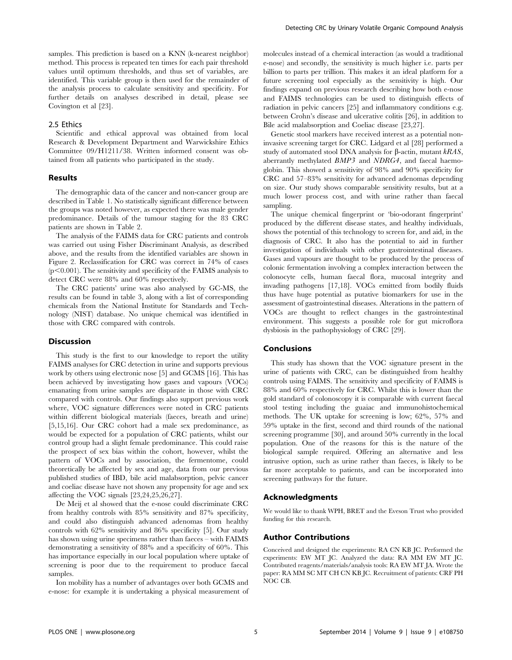samples. This prediction is based on a KNN (k-nearest neighbor) method. This process is repeated ten times for each pair threshold values until optimum thresholds, and thus set of variables, are identified. This variable group is then used for the remainder of the analysis process to calculate sensitivity and specificity. For further details on analyses described in detail, please see Covington et al [23].

#### 2.5 Ethics

Scientific and ethical approval was obtained from local Research & Development Department and Warwickshire Ethics Committee 09/H1211/38. Written informed consent was obtained from all patients who participated in the study.

#### Results

The demographic data of the cancer and non-cancer group are described in Table 1. No statistically significant difference between the groups was noted however, as expected there was male gender predominance. Details of the tumour staging for the 83 CRC patients are shown in Table 2.

The analysis of the FAIMS data for CRC patients and controls was carried out using Fisher Discriminant Analysis, as described above, and the results from the identified variables are shown in Figure 2. Reclassification for CRC was correct in 74% of cases  $(p<0.001)$ . The sensitivity and specificity of the FAIMS analysis to detect CRC were 88% and 60% respectively.

The CRC patients' urine was also analysed by GC-MS, the results can be found in table 3, along with a list of corresponding chemicals from the National Institute for Standards and Technology (NIST) database. No unique chemical was identified in those with CRC compared with controls.

## Discussion

This study is the first to our knowledge to report the utility FAIMS analyses for CRC detection in urine and supports previous work by others using electronic nose [5] and GCMS [16]. This has been achieved by investigating how gases and vapours (VOCs) emanating from urine samples are disparate in those with CRC compared with controls. Our findings also support previous work where, VOC signature differences were noted in CRC patients within different biological materials (faeces, breath and urine) [5,15,16]. Our CRC cohort had a male sex predominance, as would be expected for a population of CRC patients, whilst our control group had a slight female predominance. This could raise the prospect of sex bias within the cohort, however, whilst the pattern of VOCs and by association, the fermentome, could theoretically be affected by sex and age, data from our previous published studies of IBD, bile acid malabsorption, pelvic cancer and coeliac disease have not shown any propensity for age and sex affecting the VOC signals [23,24,25,26,27].

De Meij et al showed that the e-nose could discriminate CRC from healthy controls with 85% sensitivity and 87% specificity, and could also distinguish advanced adenomas from healthy controls with 62% sensitivity and 86% specificity [5]. Our study has shown using urine specimens rather than faeces – with FAIMS demonstrating a sensitivity of 88% and a specificity of 60%. This has importance especially in our local population where uptake of screening is poor due to the requirement to produce faecal samples.

Ion mobility has a number of advantages over both GCMS and e-nose: for example it is undertaking a physical measurement of molecules instead of a chemical interaction (as would a traditional e-nose) and secondly, the sensitivity is much higher i.e. parts per billion to parts per trillion. This makes it an ideal platform for a future screening tool especially as the sensitivity is high. Our findings expand on previous research describing how both e-nose and FAIMS technologies can be used to distinguish effects of radiation in pelvic cancers [25] and inflammatory conditions e.g. between Crohn's disease and ulcerative colitis [26], in addition to Bile acid malabsorption and Coeliac disease [23,27].

Genetic stool markers have received interest as a potential noninvasive screening target for CRC. Lidgard et al [28] performed a study of automated stool DNA analysis for B-actin, mutant kRAS, aberrantly methylated BMP3 and NDRG4, and faecal haemoglobin. This showed a sensitivity of 98% and 90% specificity for CRC and 57–83% sensitivity for advanced adenomas depending on size. Our study shows comparable sensitivity results, but at a much lower process cost, and with urine rather than faecal sampling.

The unique chemical fingerprint or 'bio-odorant fingerprint' produced by the different disease states, and healthy individuals, shows the potential of this technology to screen for, and aid, in the diagnosis of CRC. It also has the potential to aid in further investigation of individuals with other gastrointestinal diseases. Gases and vapours are thought to be produced by the process of colonic fermentation involving a complex interaction between the colonocyte cells, human faecal flora, mucosal integrity and invading pathogens [17,18]. VOCs emitted from bodily fluids thus have huge potential as putative biomarkers for use in the assessment of gastrointestinal diseases. Alterations in the pattern of VOCs are thought to reflect changes in the gastrointestinal environment. This suggests a possible role for gut microflora dysbiosis in the pathophysiology of CRC [29].

#### Conclusions

This study has shown that the VOC signature present in the urine of patients with CRC, can be distinguished from healthy controls using FAIMS. The sensitivity and specificity of FAIMS is 88% and 60% respectively for CRC. Whilst this is lower than the gold standard of colonoscopy it is comparable with current faecal stool testing including the guaiac and immunohistochemical methods. The UK uptake for screening is low; 62%, 57% and 59% uptake in the first, second and third rounds of the national screening programme [30], and around 50% currently in the local population. One of the reasons for this is the nature of the biological sample required. Offering an alternative and less intrusive option, such as urine rather than faeces, is likely to be far more acceptable to patients, and can be incorporated into screening pathways for the future.

#### Acknowledgments

We would like to thank WPH, BRET and the Eveson Trust who provided funding for this research.

#### Author Contributions

Conceived and designed the experiments: RA CN KB JC. Performed the experiments: EW MT JC. Analyzed the data: RA MM EW MT JC. Contributed reagents/materials/analysis tools: RA EW MT JA. Wrote the paper: RA MM SC MT CH CN KB JC. Recruitment of patients: CRF PH NOC CB.